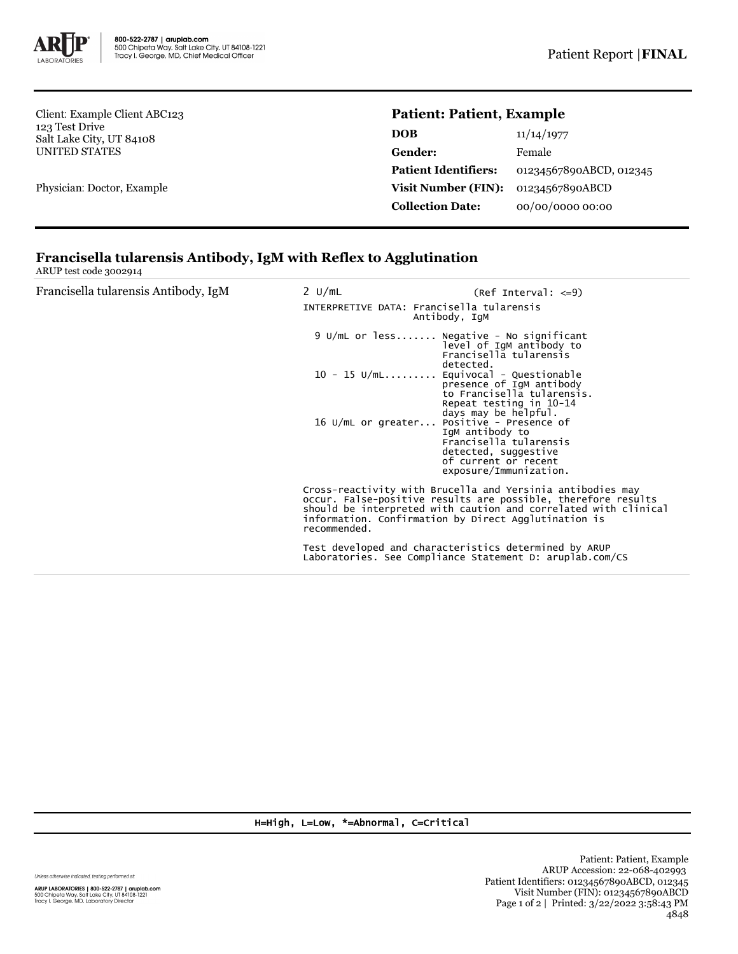

Client: Example Client ABC123 123 Test Drive Salt Lake City, UT 84108 UNITED STATES

Physician: Doctor, Example

## **Patient: Patient, Example**

| 11/14/1977              |
|-------------------------|
| Female                  |
| 01234567890ABCD, 012345 |
| 01234567890ABCD         |
| 00/00/0000 00:00        |
|                         |

## **Francisella tularensis Antibody, IgM with Reflex to Agglutination**

ARUP test code 3002914

| Francisella tularensis Antibody, IgM | 2 U/mL<br>INTERPRETIVE DATA: Francisella tularensis<br>Antibody, IgM                                              | $(Ref Interval: <=9)$                                                                                                                                                                          |
|--------------------------------------|-------------------------------------------------------------------------------------------------------------------|------------------------------------------------------------------------------------------------------------------------------------------------------------------------------------------------|
|                                      | 9 U/mL or less Negative - No significant                                                                          | level of IgM antibody to<br>Francisella tularensis<br>detected.                                                                                                                                |
|                                      | $10 - 15$ U/mL                                                                                                    | Equivocal - Questionable<br>presence of IgM antibody<br>to Francisella tularensis.<br>Repeat testing in 10-14<br>days may be helpful.                                                          |
|                                      | 16 U/mL or greater Positive - Presence of                                                                         | IgM antibody to<br>Francisella tularensis<br>detected, suggestive<br>of current or recent<br>exposure/Immunization.                                                                            |
|                                      | information. Confirmation by Direct Agglutination is<br>recommended.                                              | Cross-reactivity with Brucella and Yersinia antibodies may<br>occur. False-positive results are possible, therefore results<br>should be interpreted with caution and correlated with clinical |
|                                      | Test developed and characteristics determined by ARUP<br>Laboratories. See Compliance Statement D: aruplab.com/CS |                                                                                                                                                                                                |

H=High, L=Low, \*=Abnormal, C=Critical

Unless otherwise indicated, testing performed at: